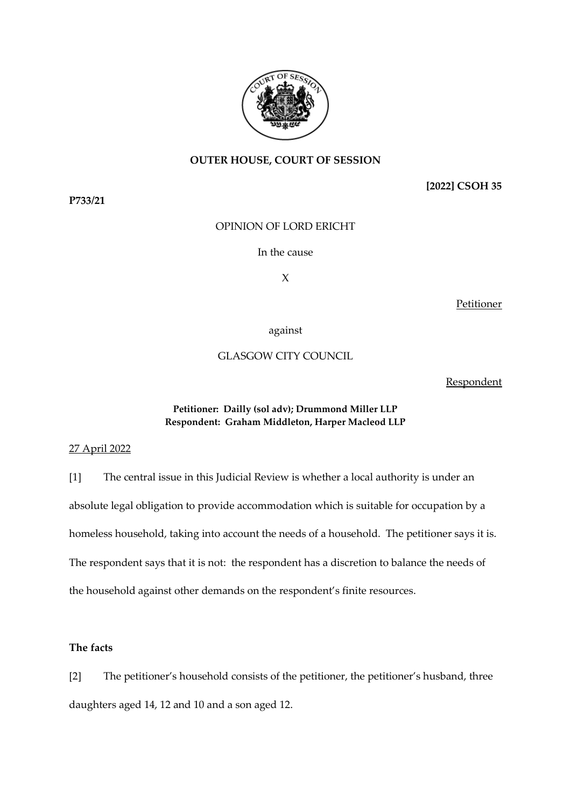

# **OUTER HOUSE, COURT OF SESSION**

**[2022] CSOH 35**

OPINION OF LORD ERICHT

In the cause

X

Petitioner

### against

# GLASGOW CITY COUNCIL

### Respondent

## **Petitioner: Dailly (sol adv); Drummond Miller LLP Respondent: Graham Middleton, Harper Macleod LLP**

### 27 April 2022

[1] The central issue in this Judicial Review is whether a local authority is under an absolute legal obligation to provide accommodation which is suitable for occupation by a homeless household, taking into account the needs of a household. The petitioner says it is. The respondent says that it is not: the respondent has a discretion to balance the needs of the household against other demands on the respondent's finite resources.

# **The facts**

[2] The petitioner's household consists of the petitioner, the petitioner's husband, three daughters aged 14, 12 and 10 and a son aged 12.

**P733/21**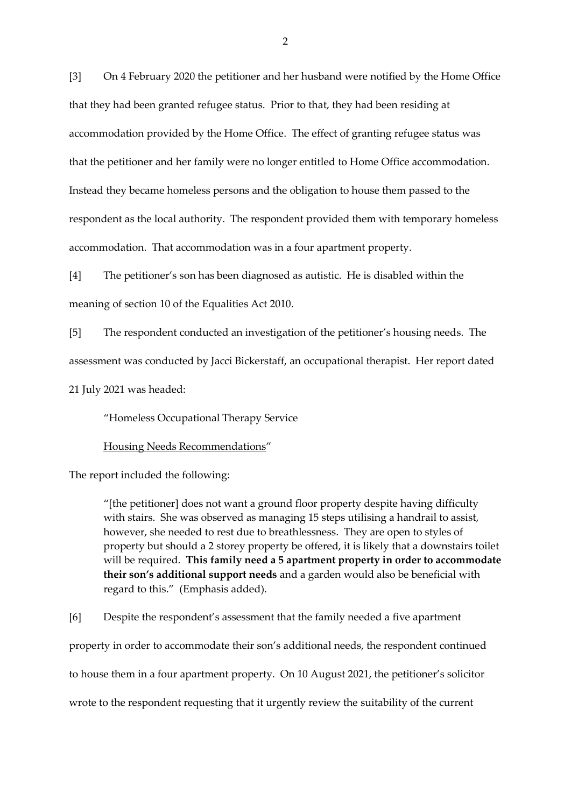[3] On 4 February 2020 the petitioner and her husband were notified by the Home Office that they had been granted refugee status. Prior to that, they had been residing at accommodation provided by the Home Office. The effect of granting refugee status was that the petitioner and her family were no longer entitled to Home Office accommodation. Instead they became homeless persons and the obligation to house them passed to the respondent as the local authority. The respondent provided them with temporary homeless accommodation. That accommodation was in a four apartment property.

[4] The petitioner's son has been diagnosed as autistic. He is disabled within the meaning of section 10 of the Equalities Act 2010.

[5] The respondent conducted an investigation of the petitioner's housing needs. The assessment was conducted by Jacci Bickerstaff, an occupational therapist. Her report dated 21 July 2021 was headed:

"Homeless Occupational Therapy Service

Housing Needs Recommendations"

The report included the following:

"[the petitioner] does not want a ground floor property despite having difficulty with stairs. She was observed as managing 15 steps utilising a handrail to assist, however, she needed to rest due to breathlessness. They are open to styles of property but should a 2 storey property be offered, it is likely that a downstairs toilet will be required. **This family need a 5 apartment property in order to accommodate their son's additional support needs** and a garden would also be beneficial with regard to this." (Emphasis added).

[6] Despite the respondent's assessment that the family needed a five apartment property in order to accommodate their son's additional needs, the respondent continued to house them in a four apartment property. On 10 August 2021, the petitioner's solicitor wrote to the respondent requesting that it urgently review the suitability of the current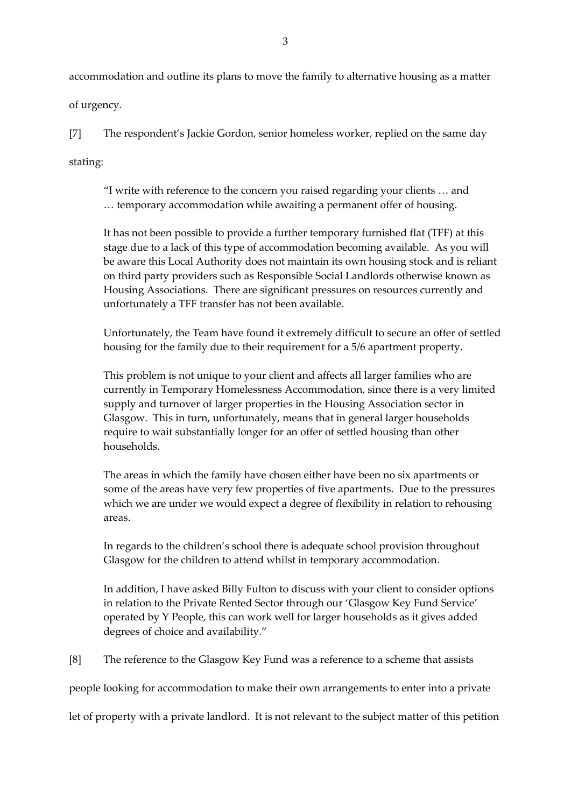accommodation and outline its plans to move the family to alternative housing as a matter of urgency.

[7] The respondent's Jackie Gordon, senior homeless worker, replied on the same day

stating:

"I write with reference to the concern you raised regarding your clients … and … temporary accommodation while awaiting a permanent offer of housing.

It has not been possible to provide a further temporary furnished flat (TFF) at this stage due to a lack of this type of accommodation becoming available. As you will be aware this Local Authority does not maintain its own housing stock and is reliant on third party providers such as Responsible Social Landlords otherwise known as Housing Associations. There are significant pressures on resources currently and unfortunately a TFF transfer has not been available.

Unfortunately, the Team have found it extremely difficult to secure an offer of settled housing for the family due to their requirement for a 5/6 apartment property.

This problem is not unique to your client and affects all larger families who are currently in Temporary Homelessness Accommodation, since there is a very limited supply and turnover of larger properties in the Housing Association sector in Glasgow. This in turn, unfortunately, means that in general larger households require to wait substantially longer for an offer of settled housing than other households.

The areas in which the family have chosen either have been no six apartments or some of the areas have very few properties of five apartments. Due to the pressures which we are under we would expect a degree of flexibility in relation to rehousing areas.

In regards to the children's school there is adequate school provision throughout Glasgow for the children to attend whilst in temporary accommodation.

In addition, I have asked Billy Fulton to discuss with your client to consider options in relation to the Private Rented Sector through our 'Glasgow Key Fund Service' operated by Y People, this can work well for larger households as it gives added degrees of choice and availability."

[8] The reference to the Glasgow Key Fund was a reference to a scheme that assists

people looking for accommodation to make their own arrangements to enter into a private

let of property with a private landlord. It is not relevant to the subject matter of this petition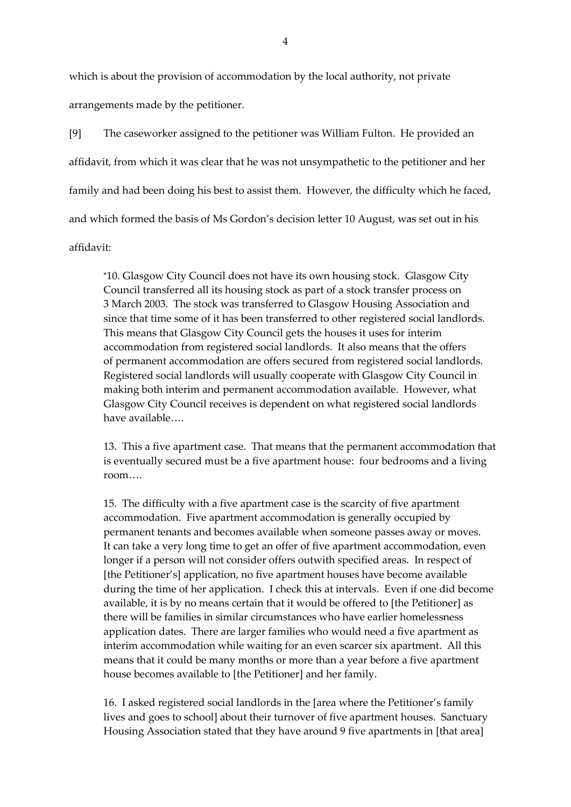which is about the provision of accommodation by the local authority, not private arrangements made by the petitioner.

[9] The caseworker assigned to the petitioner was William Fulton. He provided an affidavit, from which it was clear that he was not unsympathetic to the petitioner and her family and had been doing his best to assist them. However, the difficulty which he faced, and which formed the basis of Ms Gordon's decision letter 10 August, was set out in his affidavit:

"10. Glasgow City Council does not have its own housing stock. Glasgow City Council transferred all its housing stock as part of a stock transfer process on 3 March 2003. The stock was transferred to Glasgow Housing Association and since that time some of it has been transferred to other registered social landlords. This means that Glasgow City Council gets the houses it uses for interim accommodation from registered social landlords. It also means that the offers of permanent accommodation are offers secured from registered social landlords. Registered social landlords will usually cooperate with Glasgow City Council in making both interim and permanent accommodation available. However, what Glasgow City Council receives is dependent on what registered social landlords have available….

13. This a five apartment case. That means that the permanent accommodation that is eventually secured must be a five apartment house: four bedrooms and a living room….

15. The difficulty with a five apartment case is the scarcity of five apartment accommodation. Five apartment accommodation is generally occupied by permanent tenants and becomes available when someone passes away or moves. It can take a very long time to get an offer of five apartment accommodation, even longer if a person will not consider offers outwith specified areas. In respect of [the Petitioner's] application, no five apartment houses have become available during the time of her application. I check this at intervals. Even if one did become available, it is by no means certain that it would be offered to [the Petitioner] as there will be families in similar circumstances who have earlier homelessness application dates. There are larger families who would need a five apartment as interim accommodation while waiting for an even scarcer six apartment. All this means that it could be many months or more than a year before a five apartment house becomes available to [the Petitioner] and her family.

16. I asked registered social landlords in the [area where the Petitioner's family lives and goes to school] about their turnover of five apartment houses. Sanctuary Housing Association stated that they have around 9 five apartments in [that area]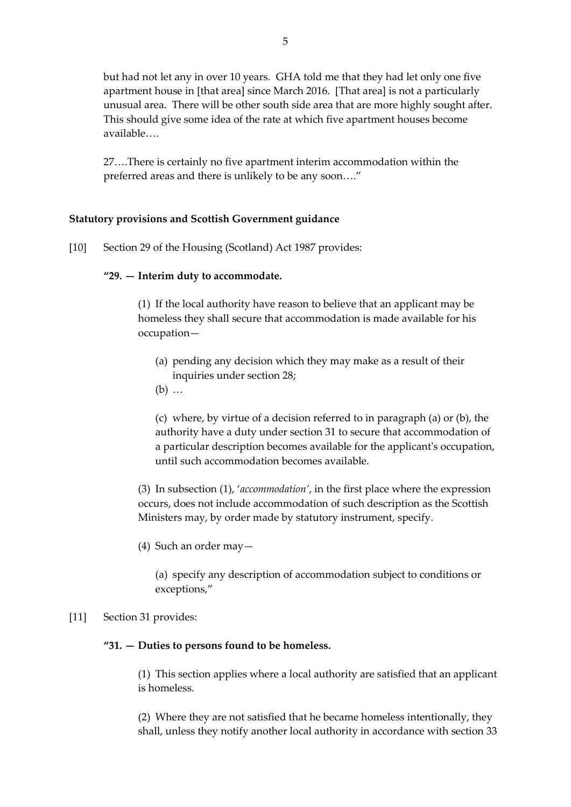but had not let any in over 10 years. GHA told me that they had let only one five apartment house in [that area] since March 2016. [That area] is not a particularly unusual area. There will be other south side area that are more highly sought after. This should give some idea of the rate at which five apartment houses become available….

27….There is certainly no five apartment interim accommodation within the preferred areas and there is unlikely to be any soon…."

# **Statutory provisions and Scottish Government guidance**

[10] Section 29 of the Housing (Scotland) Act 1987 provides:

### **"29. — Interim duty to accommodate.**

(1) If the local authority have reason to believe that an applicant may be homeless they shall secure that accommodation is made available for his occupation—

- (a) pending any decision which they may make as a result of their inquiries under section 28;
- (b) …

(c) where, by virtue of a decision referred to in paragraph (a) or (b), the authority have a duty under section 31 to secure that accommodation of a particular description becomes available for the applicant's occupation, until such accommodation becomes available.

(3) In subsection (1), '*accommodation'*, in the first place where the expression occurs, does not include accommodation of such description as the Scottish Ministers may, by order made by statutory instrument, specify.

(4) Such an order may—

(a) specify any description of accommodation subject to conditions or exceptions,"

### [11] Section 31 provides:

### **"31. — Duties to persons found to be homeless.**

(1) This section applies where a local authority are satisfied that an applicant is homeless.

(2) Where they are not satisfied that he became homeless intentionally, they shall, unless they notify another local authority in accordance with section 33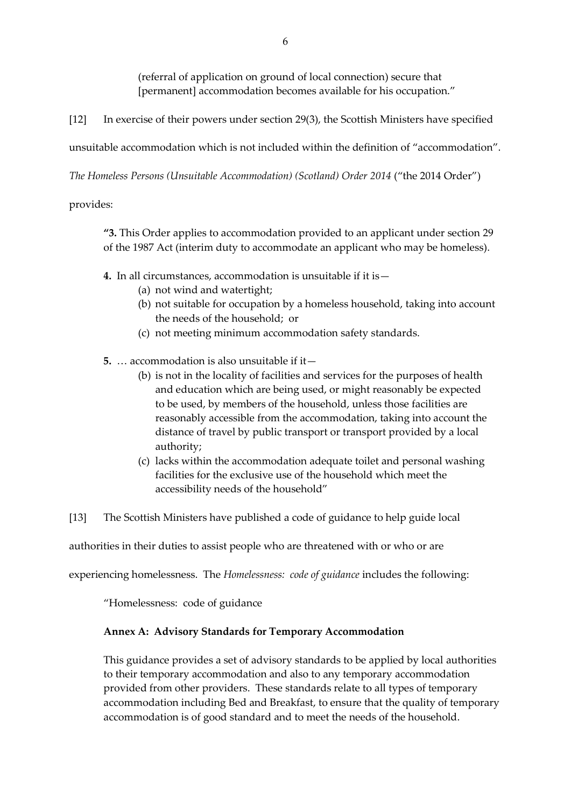(referral of application on ground of local connection) secure that [permanent] accommodation becomes available for his occupation."

[12] In exercise of their powers under section 29(3), the Scottish Ministers have specified

unsuitable accommodation which is not included within the definition of "accommodation".

*The Homeless Persons (Unsuitable Accommodation) (Scotland) Order 2014* ("the 2014 Order")

provides:

**"3.** This Order applies to accommodation provided to an applicant under section 29 of the 1987 Act (interim duty to accommodate an applicant who may be homeless).

- **4.** In all circumstances, accommodation is unsuitable if it is—
	- (a) not wind and watertight;
	- (b) not suitable for occupation by a homeless household, taking into account the needs of the household; or
	- (c) not meeting minimum accommodation safety standards.
- **5.** … accommodation is also unsuitable if it—
	- (b) is not in the locality of facilities and services for the purposes of health and education which are being used, or might reasonably be expected to be used, by members of the household, unless those facilities are reasonably accessible from the accommodation, taking into account the distance of travel by public transport or transport provided by a local authority;
	- (c) lacks within the accommodation adequate toilet and personal washing facilities for the exclusive use of the household which meet the accessibility needs of the household"
- [13] The Scottish Ministers have published a code of guidance to help guide local

authorities in their duties to assist people who are threatened with or who or are

experiencing homelessness. The *Homelessness: code of guidance* includes the following:

"Homelessness: code of guidance

# **Annex A: Advisory Standards for Temporary Accommodation**

This guidance provides a set of advisory standards to be applied by local authorities to their temporary accommodation and also to any temporary accommodation provided from other providers. These standards relate to all types of temporary accommodation including Bed and Breakfast, to ensure that the quality of temporary accommodation is of good standard and to meet the needs of the household.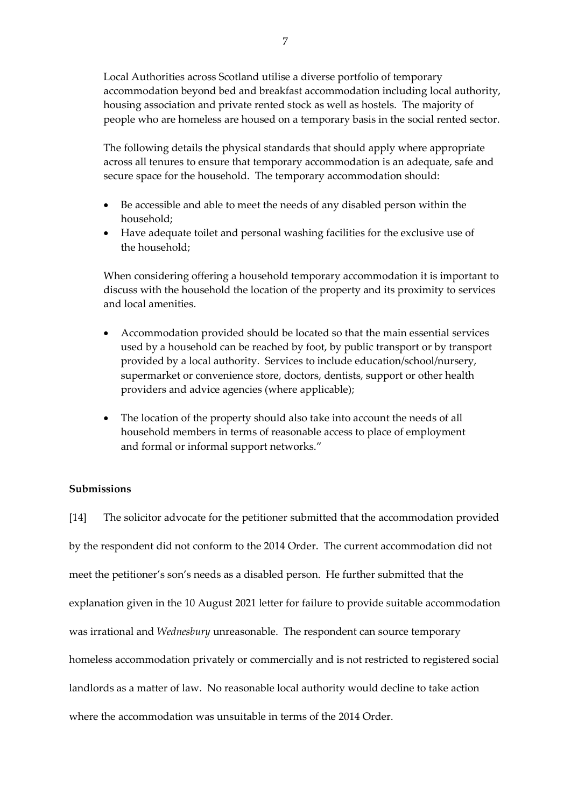Local Authorities across Scotland utilise a diverse portfolio of temporary accommodation beyond bed and breakfast accommodation including local authority, housing association and private rented stock as well as hostels. The majority of people who are homeless are housed on a temporary basis in the social rented sector.

The following details the physical standards that should apply where appropriate across all tenures to ensure that temporary accommodation is an adequate, safe and secure space for the household. The temporary accommodation should:

- Be accessible and able to meet the needs of any disabled person within the household;
- Have adequate toilet and personal washing facilities for the exclusive use of the household;

When considering offering a household temporary accommodation it is important to discuss with the household the location of the property and its proximity to services and local amenities.

- Accommodation provided should be located so that the main essential services used by a household can be reached by foot, by public transport or by transport provided by a local authority. Services to include education/school/nursery, supermarket or convenience store, doctors, dentists, support or other health providers and advice agencies (where applicable);
- The location of the property should also take into account the needs of all household members in terms of reasonable access to place of employment and formal or informal support networks."

# **Submissions**

[14] The solicitor advocate for the petitioner submitted that the accommodation provided by the respondent did not conform to the 2014 Order. The current accommodation did not meet the petitioner's son's needs as a disabled person. He further submitted that the explanation given in the 10 August 2021 letter for failure to provide suitable accommodation was irrational and *Wednesbury* unreasonable. The respondent can source temporary homeless accommodation privately or commercially and is not restricted to registered social landlords as a matter of law. No reasonable local authority would decline to take action where the accommodation was unsuitable in terms of the 2014 Order.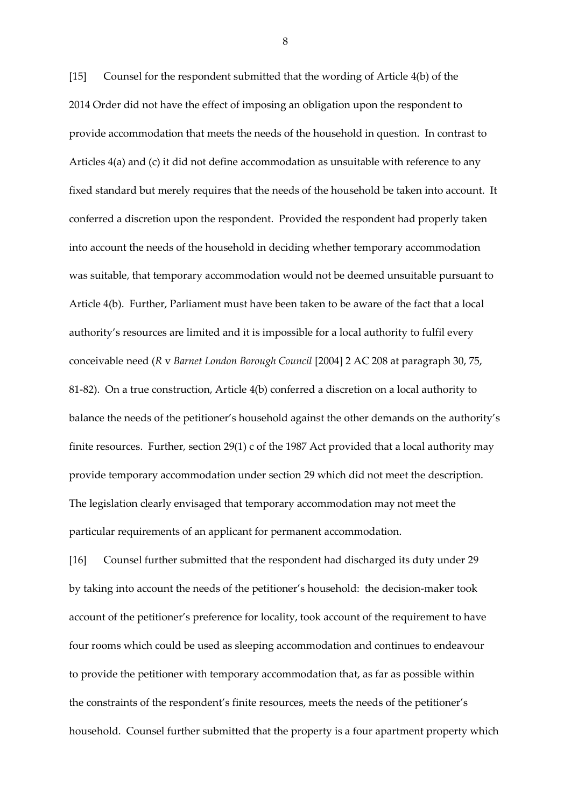[15] Counsel for the respondent submitted that the wording of Article 4(b) of the 2014 Order did not have the effect of imposing an obligation upon the respondent to provide accommodation that meets the needs of the household in question. In contrast to Articles 4(a) and (c) it did not define accommodation as unsuitable with reference to any fixed standard but merely requires that the needs of the household be taken into account. It conferred a discretion upon the respondent. Provided the respondent had properly taken into account the needs of the household in deciding whether temporary accommodation was suitable, that temporary accommodation would not be deemed unsuitable pursuant to Article 4(b). Further, Parliament must have been taken to be aware of the fact that a local authority's resources are limited and it is impossible for a local authority to fulfil every conceivable need (*R* v *Barnet London Borough Council* [2004] 2 AC 208 at paragraph 30, 75, 81-82). On a true construction, Article 4(b) conferred a discretion on a local authority to balance the needs of the petitioner's household against the other demands on the authority's finite resources. Further, section 29(1) c of the 1987 Act provided that a local authority may provide temporary accommodation under section 29 which did not meet the description. The legislation clearly envisaged that temporary accommodation may not meet the particular requirements of an applicant for permanent accommodation.

[16] Counsel further submitted that the respondent had discharged its duty under 29 by taking into account the needs of the petitioner's household: the decision-maker took account of the petitioner's preference for locality, took account of the requirement to have four rooms which could be used as sleeping accommodation and continues to endeavour to provide the petitioner with temporary accommodation that, as far as possible within the constraints of the respondent's finite resources, meets the needs of the petitioner's household. Counsel further submitted that the property is a four apartment property which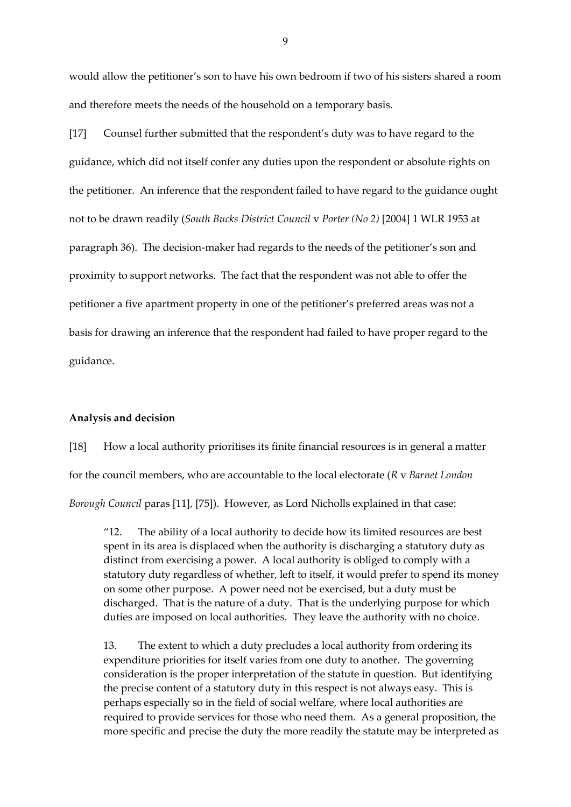would allow the petitioner's son to have his own bedroom if two of his sisters shared a room and therefore meets the needs of the household on a temporary basis.

[17] Counsel further submitted that the respondent's duty was to have regard to the guidance, which did not itself confer any duties upon the respondent or absolute rights on the petitioner. An inference that the respondent failed to have regard to the guidance ought not to be drawn readily (*South Bucks District Council* v *Porter (No 2)* [2004] 1 WLR 1953 at paragraph 36). The decision-maker had regards to the needs of the petitioner's son and proximity to support networks. The fact that the respondent was not able to offer the petitioner a five apartment property in one of the petitioner's preferred areas was not a basis for drawing an inference that the respondent had failed to have proper regard to the guidance.

#### **Analysis and decision**

[18] How a local authority prioritises its finite financial resources is in general a matter for the council members, who are accountable to the local electorate (*R* v *Barnet London Borough Council* paras [11], [75]). However, as Lord Nicholls explained in that case:

"12. The ability of a local authority to decide how its limited resources are best spent in its area is displaced when the authority is discharging a statutory duty as distinct from exercising a power. A local authority is obliged to comply with a statutory duty regardless of whether, left to itself, it would prefer to spend its money on some other purpose. A power need not be exercised, but a duty must be discharged. That is the nature of a duty. That is the underlying purpose for which duties are imposed on local authorities. They leave the authority with no choice.

13. The extent to which a duty precludes a local authority from ordering its expenditure priorities for itself varies from one duty to another. The governing consideration is the proper interpretation of the statute in question. But identifying the precise content of a statutory duty in this respect is not always easy. This is perhaps especially so in the field of social welfare, where local authorities are required to provide services for those who need them. As a general proposition, the more specific and precise the duty the more readily the statute may be interpreted as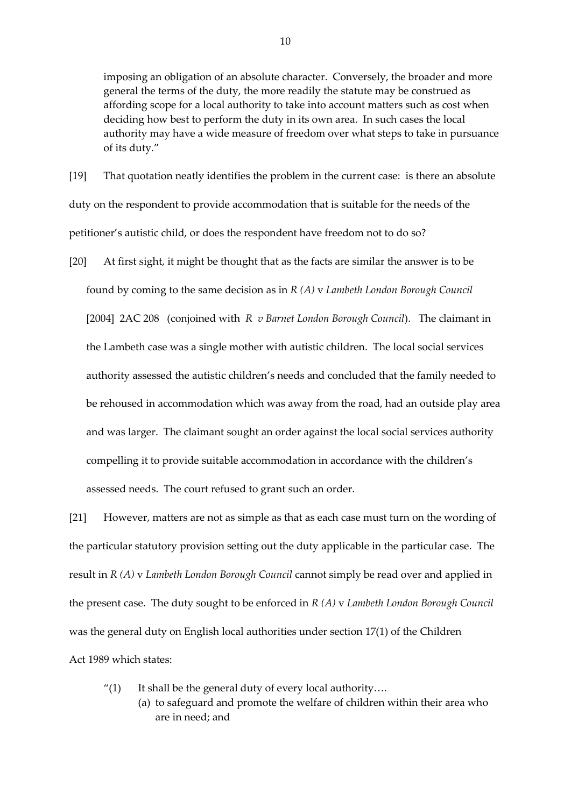imposing an obligation of an absolute character. Conversely, the broader and more general the terms of the duty, the more readily the statute may be construed as affording scope for a local authority to take into account matters such as cost when deciding how best to perform the duty in its own area. In such cases the local authority may have a wide measure of freedom over what steps to take in pursuance of its duty."

[19] That quotation neatly identifies the problem in the current case: is there an absolute duty on the respondent to provide accommodation that is suitable for the needs of the petitioner's autistic child, or does the respondent have freedom not to do so?

[20] At first sight, it might be thought that as the facts are similar the answer is to be found by coming to the same decision as in *R (A)* v *Lambeth London Borough Council* [2004] 2AC 208 (conjoined with *R v Barnet London Borough Council*). The claimant in the Lambeth case was a single mother with autistic children. The local social services authority assessed the autistic children's needs and concluded that the family needed to be rehoused in accommodation which was away from the road, had an outside play area and was larger. The claimant sought an order against the local social services authority compelling it to provide suitable accommodation in accordance with the children's assessed needs. The court refused to grant such an order.

[21] However, matters are not as simple as that as each case must turn on the wording of the particular statutory provision setting out the duty applicable in the particular case. The result in *R (A)* v *Lambeth London Borough Council* cannot simply be read over and applied in the present case. The duty sought to be enforced in *R (A)* v *Lambeth London Borough Council*  was the general duty on English local authorities under section 17(1) of the Children Act 1989 which states:

"(1) It shall be the general duty of every local authority.... (a) to safeguard and promote the welfare of children within their area who are in need; and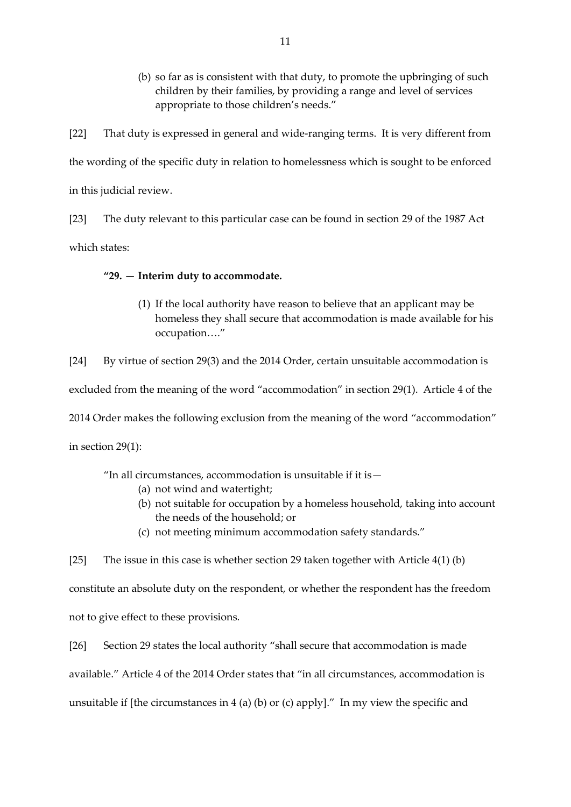(b) so far as is consistent with that duty, to promote the upbringing of such children by their families, by providing a range and level of services appropriate to those children's needs."

[22] That duty is expressed in general and wide-ranging terms. It is very different from the wording of the specific duty in relation to homelessness which is sought to be enforced in this judicial review.

[23] The duty relevant to this particular case can be found in section 29 of the 1987 Act which states:

### **"29. — Interim duty to accommodate.**

(1) If the local authority have reason to believe that an applicant may be homeless they shall secure that accommodation is made available for his occupation…."

[24] By virtue of section 29(3) and the 2014 Order, certain unsuitable accommodation is

excluded from the meaning of the word "accommodation" in section 29(1). Article 4 of the

2014 Order makes the following exclusion from the meaning of the word "accommodation"

in section 29(1):

"In all circumstances, accommodation is unsuitable if it is—

- (a) not wind and watertight;
- (b) not suitable for occupation by a homeless household, taking into account the needs of the household; or
- (c) not meeting minimum accommodation safety standards."

[25] The issue in this case is whether section 29 taken together with Article 4(1) (b) constitute an absolute duty on the respondent, or whether the respondent has the freedom not to give effect to these provisions.

[26] Section 29 states the local authority "shall secure that accommodation is made available." Article 4 of the 2014 Order states that "in all circumstances, accommodation is unsuitable if [the circumstances in  $4$  (a) (b) or (c) apply]." In my view the specific and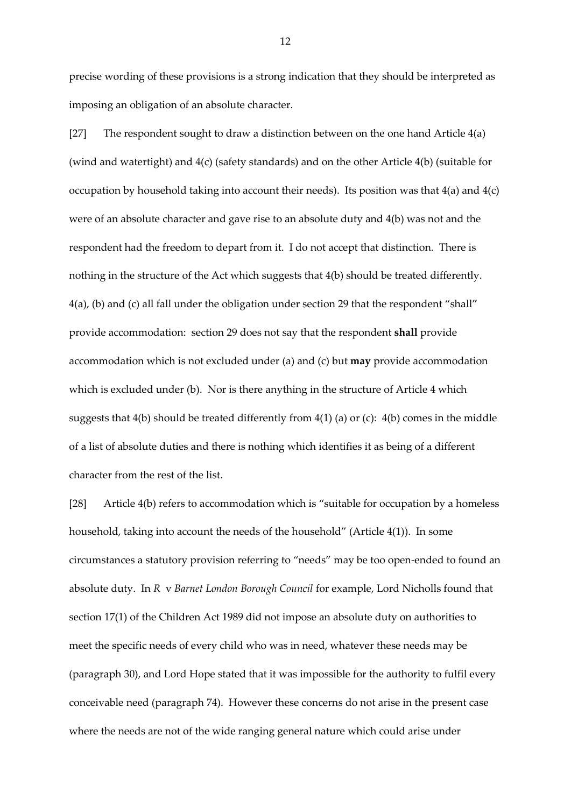precise wording of these provisions is a strong indication that they should be interpreted as imposing an obligation of an absolute character.

[27] The respondent sought to draw a distinction between on the one hand Article 4(a) (wind and watertight) and 4(c) (safety standards) and on the other Article 4(b) (suitable for occupation by household taking into account their needs). Its position was that  $4(a)$  and  $4(c)$ were of an absolute character and gave rise to an absolute duty and 4(b) was not and the respondent had the freedom to depart from it. I do not accept that distinction. There is nothing in the structure of the Act which suggests that 4(b) should be treated differently. 4(a), (b) and (c) all fall under the obligation under section 29 that the respondent "shall" provide accommodation: section 29 does not say that the respondent **shall** provide accommodation which is not excluded under (a) and (c) but **may** provide accommodation which is excluded under (b). Nor is there anything in the structure of Article 4 which suggests that 4(b) should be treated differently from 4(1) (a) or (c): 4(b) comes in the middle of a list of absolute duties and there is nothing which identifies it as being of a different character from the rest of the list.

[28] Article 4(b) refers to accommodation which is "suitable for occupation by a homeless household, taking into account the needs of the household" (Article 4(1)). In some circumstances a statutory provision referring to "needs" may be too open-ended to found an absolute duty. In *R* v *Barnet London Borough Council* for example, Lord Nicholls found that section 17(1) of the Children Act 1989 did not impose an absolute duty on authorities to meet the specific needs of every child who was in need, whatever these needs may be (paragraph 30), and Lord Hope stated that it was impossible for the authority to fulfil every conceivable need (paragraph 74). However these concerns do not arise in the present case where the needs are not of the wide ranging general nature which could arise under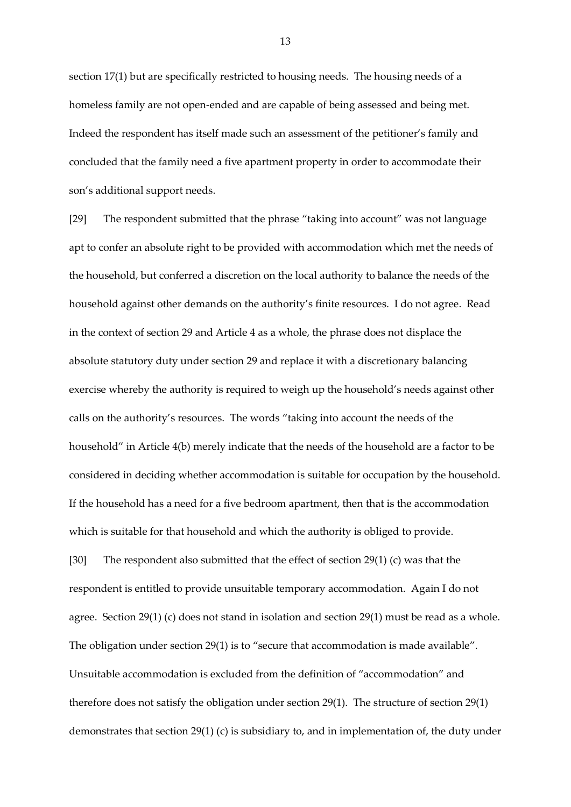section 17(1) but are specifically restricted to housing needs. The housing needs of a homeless family are not open-ended and are capable of being assessed and being met. Indeed the respondent has itself made such an assessment of the petitioner's family and concluded that the family need a five apartment property in order to accommodate their son's additional support needs.

[29] The respondent submitted that the phrase "taking into account" was not language apt to confer an absolute right to be provided with accommodation which met the needs of the household, but conferred a discretion on the local authority to balance the needs of the household against other demands on the authority's finite resources. I do not agree. Read in the context of section 29 and Article 4 as a whole, the phrase does not displace the absolute statutory duty under section 29 and replace it with a discretionary balancing exercise whereby the authority is required to weigh up the household's needs against other calls on the authority's resources. The words "taking into account the needs of the household" in Article 4(b) merely indicate that the needs of the household are a factor to be considered in deciding whether accommodation is suitable for occupation by the household. If the household has a need for a five bedroom apartment, then that is the accommodation which is suitable for that household and which the authority is obliged to provide.

[30] The respondent also submitted that the effect of section 29(1) (c) was that the respondent is entitled to provide unsuitable temporary accommodation. Again I do not agree. Section 29(1) (c) does not stand in isolation and section 29(1) must be read as a whole. The obligation under section 29(1) is to "secure that accommodation is made available". Unsuitable accommodation is excluded from the definition of "accommodation" and therefore does not satisfy the obligation under section 29(1). The structure of section 29(1) demonstrates that section 29(1) (c) is subsidiary to, and in implementation of, the duty under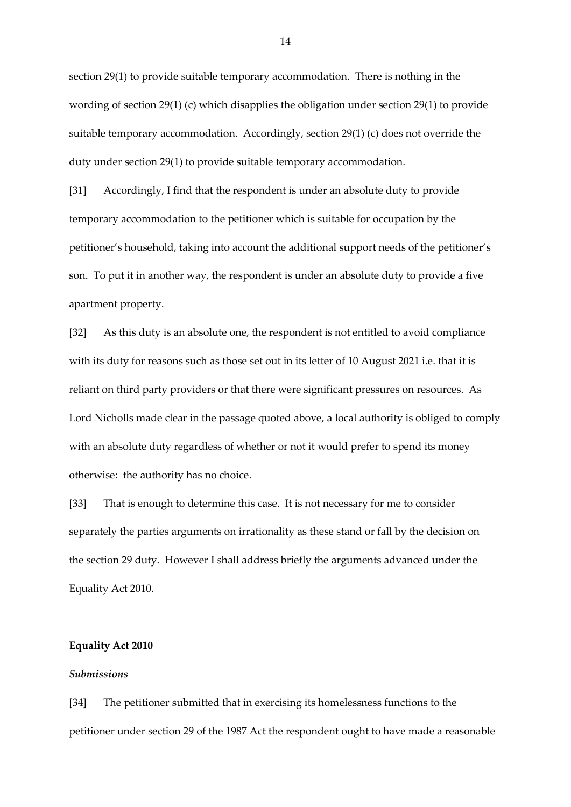section 29(1) to provide suitable temporary accommodation. There is nothing in the wording of section 29(1) (c) which disapplies the obligation under section 29(1) to provide suitable temporary accommodation. Accordingly, section 29(1) (c) does not override the duty under section 29(1) to provide suitable temporary accommodation.

[31] Accordingly, I find that the respondent is under an absolute duty to provide temporary accommodation to the petitioner which is suitable for occupation by the petitioner's household, taking into account the additional support needs of the petitioner's son. To put it in another way, the respondent is under an absolute duty to provide a five apartment property.

[32] As this duty is an absolute one, the respondent is not entitled to avoid compliance with its duty for reasons such as those set out in its letter of 10 August 2021 i.e. that it is reliant on third party providers or that there were significant pressures on resources. As Lord Nicholls made clear in the passage quoted above, a local authority is obliged to comply with an absolute duty regardless of whether or not it would prefer to spend its money otherwise: the authority has no choice.

[33] That is enough to determine this case. It is not necessary for me to consider separately the parties arguments on irrationality as these stand or fall by the decision on the section 29 duty. However I shall address briefly the arguments advanced under the Equality Act 2010.

#### **Equality Act 2010**

#### *Submissions*

[34] The petitioner submitted that in exercising its homelessness functions to the petitioner under section 29 of the 1987 Act the respondent ought to have made a reasonable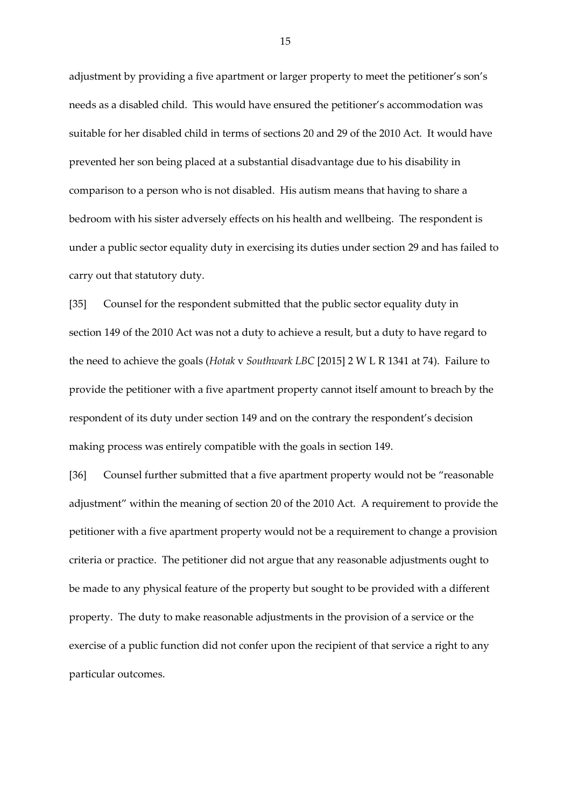adjustment by providing a five apartment or larger property to meet the petitioner's son's needs as a disabled child. This would have ensured the petitioner's accommodation was suitable for her disabled child in terms of sections 20 and 29 of the 2010 Act. It would have prevented her son being placed at a substantial disadvantage due to his disability in comparison to a person who is not disabled. His autism means that having to share a bedroom with his sister adversely effects on his health and wellbeing. The respondent is under a public sector equality duty in exercising its duties under section 29 and has failed to carry out that statutory duty.

[35] Counsel for the respondent submitted that the public sector equality duty in section 149 of the 2010 Act was not a duty to achieve a result, but a duty to have regard to the need to achieve the goals (*Hotak* v *Southwark LBC* [2015] 2 W L R 1341 at 74). Failure to provide the petitioner with a five apartment property cannot itself amount to breach by the respondent of its duty under section 149 and on the contrary the respondent's decision making process was entirely compatible with the goals in section 149.

[36] Counsel further submitted that a five apartment property would not be "reasonable" adjustment" within the meaning of section 20 of the 2010 Act. A requirement to provide the petitioner with a five apartment property would not be a requirement to change a provision criteria or practice. The petitioner did not argue that any reasonable adjustments ought to be made to any physical feature of the property but sought to be provided with a different property. The duty to make reasonable adjustments in the provision of a service or the exercise of a public function did not confer upon the recipient of that service a right to any particular outcomes.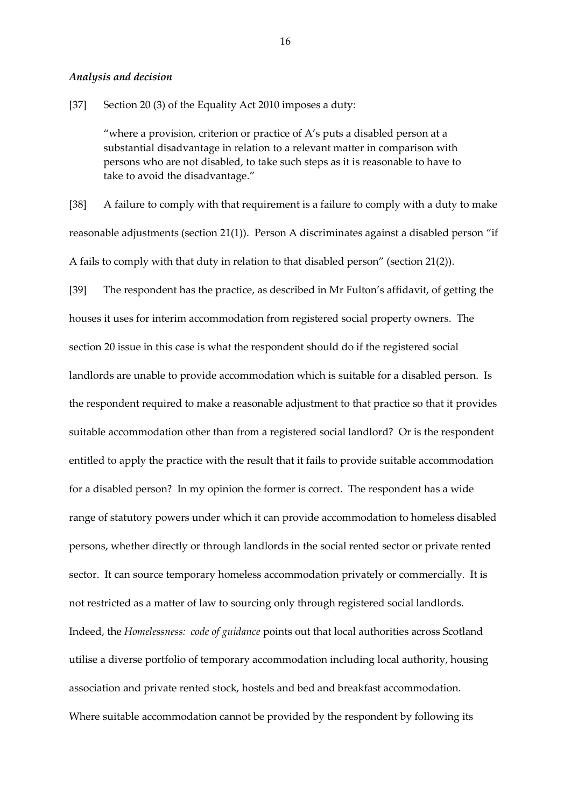#### *Analysis and decision*

[37] Section 20 (3) of the Equality Act 2010 imposes a duty:

"where a provision, criterion or practice of A's puts a disabled person at a substantial disadvantage in relation to a relevant matter in comparison with persons who are not disabled, to take such steps as it is reasonable to have to take to avoid the disadvantage."

[38] A failure to comply with that requirement is a failure to comply with a duty to make reasonable adjustments (section 21(1)). Person A discriminates against a disabled person "if A fails to comply with that duty in relation to that disabled person" (section 21(2)).

[39] The respondent has the practice, as described in Mr Fulton's affidavit, of getting the houses it uses for interim accommodation from registered social property owners. The section 20 issue in this case is what the respondent should do if the registered social landlords are unable to provide accommodation which is suitable for a disabled person. Is the respondent required to make a reasonable adjustment to that practice so that it provides suitable accommodation other than from a registered social landlord? Or is the respondent entitled to apply the practice with the result that it fails to provide suitable accommodation for a disabled person? In my opinion the former is correct. The respondent has a wide range of statutory powers under which it can provide accommodation to homeless disabled persons, whether directly or through landlords in the social rented sector or private rented sector. It can source temporary homeless accommodation privately or commercially. It is not restricted as a matter of law to sourcing only through registered social landlords. Indeed, the *Homelessness: code of guidance* points out that local authorities across Scotland utilise a diverse portfolio of temporary accommodation including local authority, housing association and private rented stock, hostels and bed and breakfast accommodation. Where suitable accommodation cannot be provided by the respondent by following its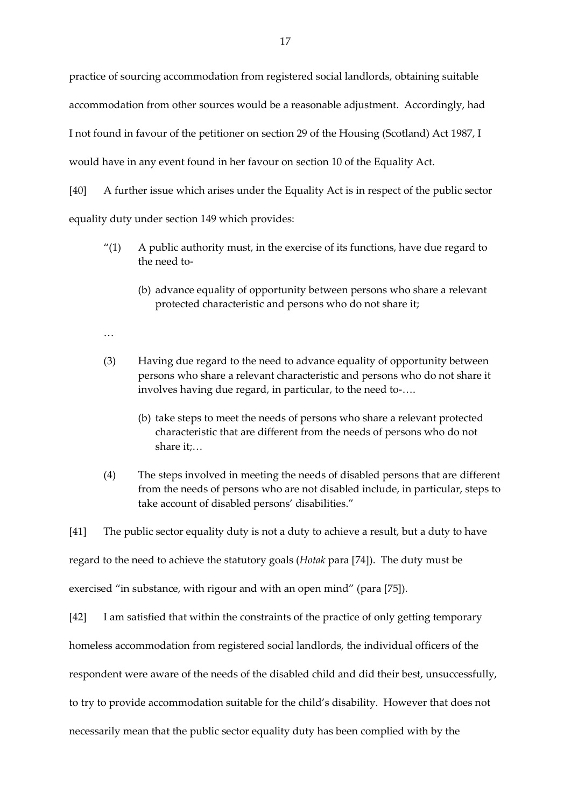practice of sourcing accommodation from registered social landlords, obtaining suitable accommodation from other sources would be a reasonable adjustment. Accordingly, had I not found in favour of the petitioner on section 29 of the Housing (Scotland) Act 1987, I would have in any event found in her favour on section 10 of the Equality Act.

[40] A further issue which arises under the Equality Act is in respect of the public sector equality duty under section 149 which provides:

- $\gamma$ (1) A public authority must, in the exercise of its functions, have due regard to the need to-
	- (b) advance equality of opportunity between persons who share a relevant protected characteristic and persons who do not share it;
- …
- (3) Having due regard to the need to advance equality of opportunity between persons who share a relevant characteristic and persons who do not share it involves having due regard, in particular, to the need to-….
	- (b) take steps to meet the needs of persons who share a relevant protected characteristic that are different from the needs of persons who do not share it;…
- (4) The steps involved in meeting the needs of disabled persons that are different from the needs of persons who are not disabled include, in particular, steps to take account of disabled persons' disabilities."

[41] The public sector equality duty is not a duty to achieve a result, but a duty to have regard to the need to achieve the statutory goals (*Hotak* para [74]). The duty must be exercised "in substance, with rigour and with an open mind" (para [75]).

[42] I am satisfied that within the constraints of the practice of only getting temporary

homeless accommodation from registered social landlords, the individual officers of the

respondent were aware of the needs of the disabled child and did their best, unsuccessfully,

to try to provide accommodation suitable for the child's disability. However that does not

necessarily mean that the public sector equality duty has been complied with by the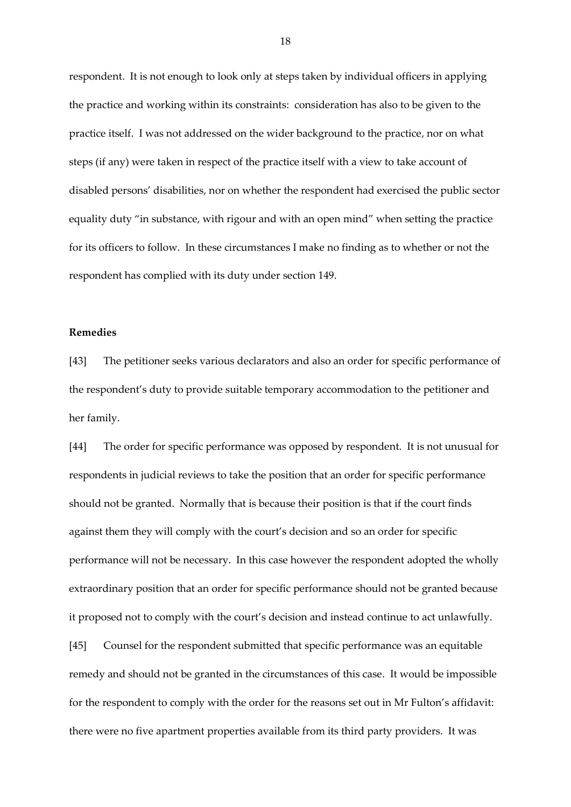respondent. It is not enough to look only at steps taken by individual officers in applying the practice and working within its constraints: consideration has also to be given to the practice itself. I was not addressed on the wider background to the practice, nor on what steps (if any) were taken in respect of the practice itself with a view to take account of disabled persons' disabilities, nor on whether the respondent had exercised the public sector equality duty "in substance, with rigour and with an open mind" when setting the practice for its officers to follow. In these circumstances I make no finding as to whether or not the respondent has complied with its duty under section 149.

#### **Remedies**

[43] The petitioner seeks various declarators and also an order for specific performance of the respondent's duty to provide suitable temporary accommodation to the petitioner and her family.

[44] The order for specific performance was opposed by respondent. It is not unusual for respondents in judicial reviews to take the position that an order for specific performance should not be granted. Normally that is because their position is that if the court finds against them they will comply with the court's decision and so an order for specific performance will not be necessary. In this case however the respondent adopted the wholly extraordinary position that an order for specific performance should not be granted because it proposed not to comply with the court's decision and instead continue to act unlawfully. [45] Counsel for the respondent submitted that specific performance was an equitable remedy and should not be granted in the circumstances of this case. It would be impossible for the respondent to comply with the order for the reasons set out in Mr Fulton's affidavit:

there were no five apartment properties available from its third party providers. It was